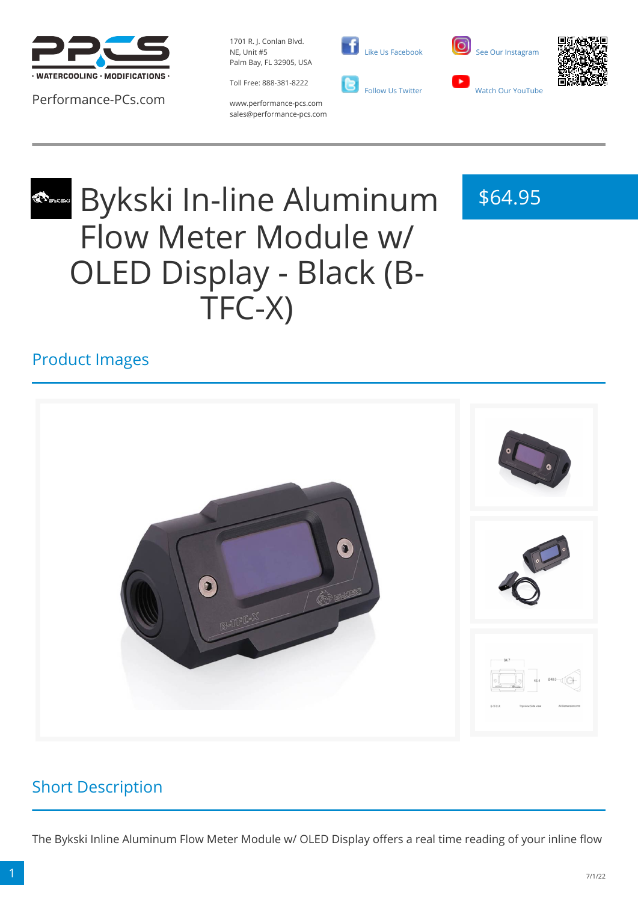

Performance-PCs.com

1701 R. J. Conlan Blvd. NE, Unit #5 Palm Bay, FL 32905, USA

Toll Free: 888-381-8222





\$64.95



www.performance-pcs.com sales@performance-pcs.com

# Bykski In-line Aluminum Flow Meter Module w/ OLED Display - Black (B-TFC-X)

### Product Images



### Short Description

The Bykski Inline Aluminum Flow Meter Module w/ OLED Display offers a real time reading of your inline flow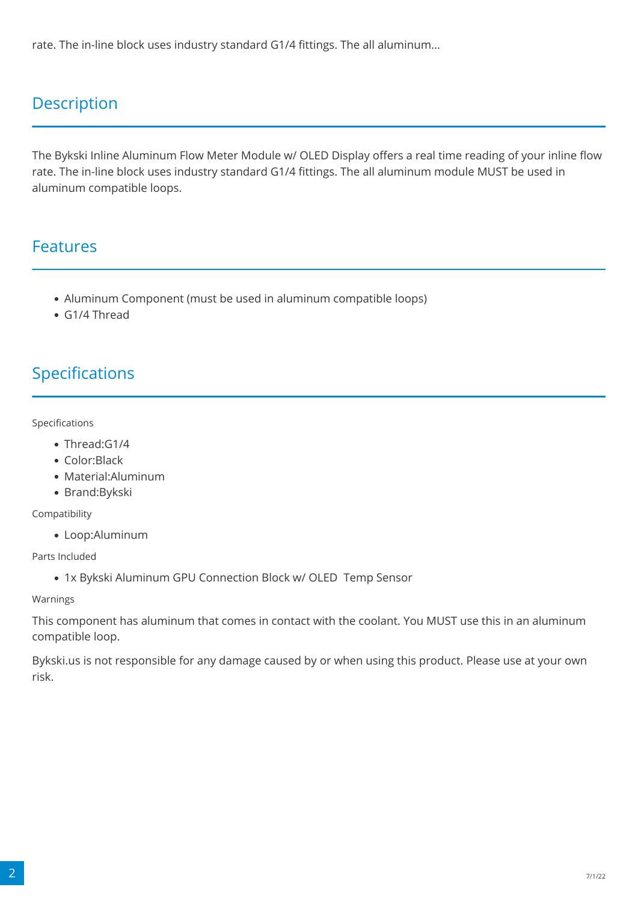rate. The in-line block uses industry standard G1/4 fittings. The all aluminum...

### **Description**

The Bykski Inline Aluminum Flow Meter Module w/ OLED Display offers a real time reading of your inline flow rate. The in-line block uses industry standard G1/4 fittings. The all aluminum module MUST be used in aluminum compatible loops.

#### Features

- Aluminum Component (must be used in aluminum compatible loops)
- G1/4 Thread

#### Specifications

Specifications

- Thread:G1/4
- Color:Black
- Material:Aluminum
- Brand:Bykski

Compatibility

Loop:Aluminum

Parts Included

1x Bykski Aluminum GPU Connection Block w/ OLED Temp Sensor

Warnings

This component has aluminum that comes in contact with the coolant. You MUST use this in an aluminum compatible loop.

Bykski.us is not responsible for any damage caused by or when using this product. Please use at your own risk.